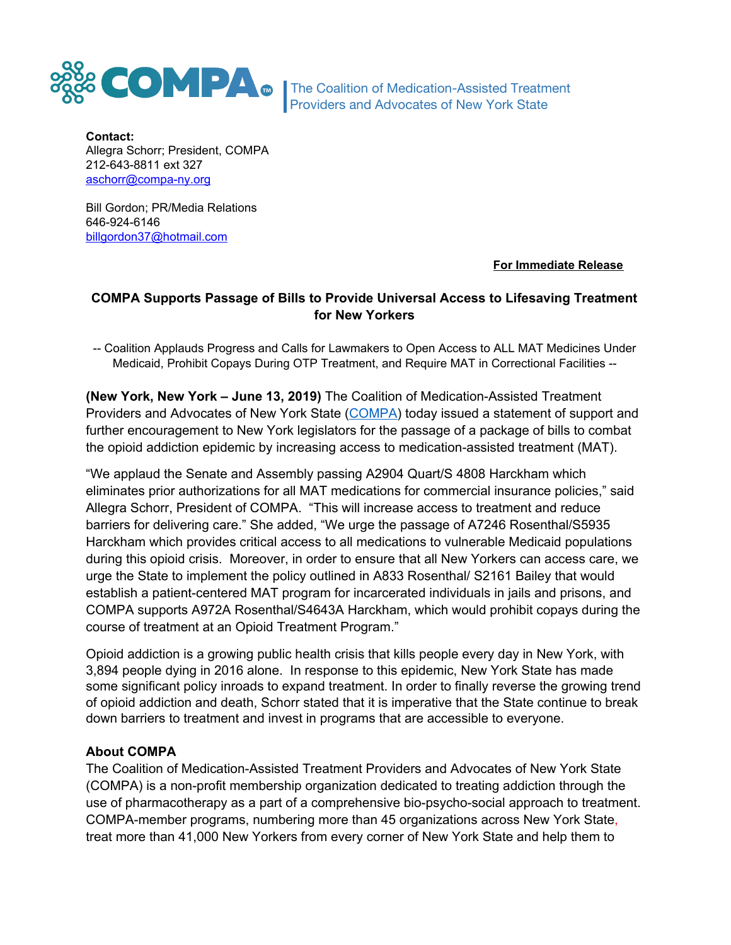

The Coalition of Medication-Assisted Treatment Providers and Advocates of New York State

**Contact:** Allegra Schorr; President, COMPA 212-643-8811 ext 327 [aschorr@compa-ny.org](mailto:aschorr@compa-ny.org)

Bill Gordon; PR/Media Relations 646-924-6146 [billgordon37@hotmail.com](mailto:billgordon37@hotmail.com)

**For Immediate Release**

## **COMPA Supports Passage of Bills to Provide Universal Access to Lifesaving Treatment for New Yorkers**

-- Coalition Applauds Progress and Calls for Lawmakers to Open Access to ALL MAT Medicines Under Medicaid, Prohibit Copays During OTP Treatment, and Require MAT in Correctional Facilities --

**(New York, New York – June 13, 2019)** The Coalition of Medication-Assisted Treatment Providers and Advocates of New York State [\(COMPA\)](http://www.compa-ny.org/) today issued a statement of support and further encouragement to New York legislators for the passage of a package of bills to combat the opioid addiction epidemic by increasing access to medication-assisted treatment (MAT).

"We applaud the Senate and Assembly passing A2904 Quart/S 4808 Harckham which eliminates prior authorizations for all MAT medications for commercial insurance policies," said Allegra Schorr, President of COMPA. "This will increase access to treatment and reduce barriers for delivering care." She added, "We urge the passage of A7246 Rosenthal/S5935 Harckham which provides critical access to all medications to vulnerable Medicaid populations during this opioid crisis. Moreover, in order to ensure that all New Yorkers can access care, we urge the State to implement the policy outlined in A833 Rosenthal/ S2161 Bailey that would establish a patient-centered MAT program for incarcerated individuals in jails and prisons, and COMPA supports A972A Rosenthal/S4643A Harckham, which would prohibit copays during the course of treatment at an Opioid Treatment Program."

Opioid addiction is a growing public health crisis that kills people every day in New York, with 3,894 people dying in 2016 alone. In response to this epidemic, New York State has made some significant policy inroads to expand treatment. In order to finally reverse the growing trend of opioid addiction and death, Schorr stated that it is imperative that the State continue to break down barriers to treatment and invest in programs that are accessible to everyone.

## **About COMPA**

The Coalition of Medication-Assisted Treatment Providers and Advocates of New York State (COMPA) is a non-profit membership organization dedicated to treating addiction through the use of pharmacotherapy as a part of a comprehensive bio-psycho-social approach to treatment. COMPA-member programs, numbering more than 45 organizations across New York State, treat more than 41,000 New Yorkers from every corner of New York State and help them to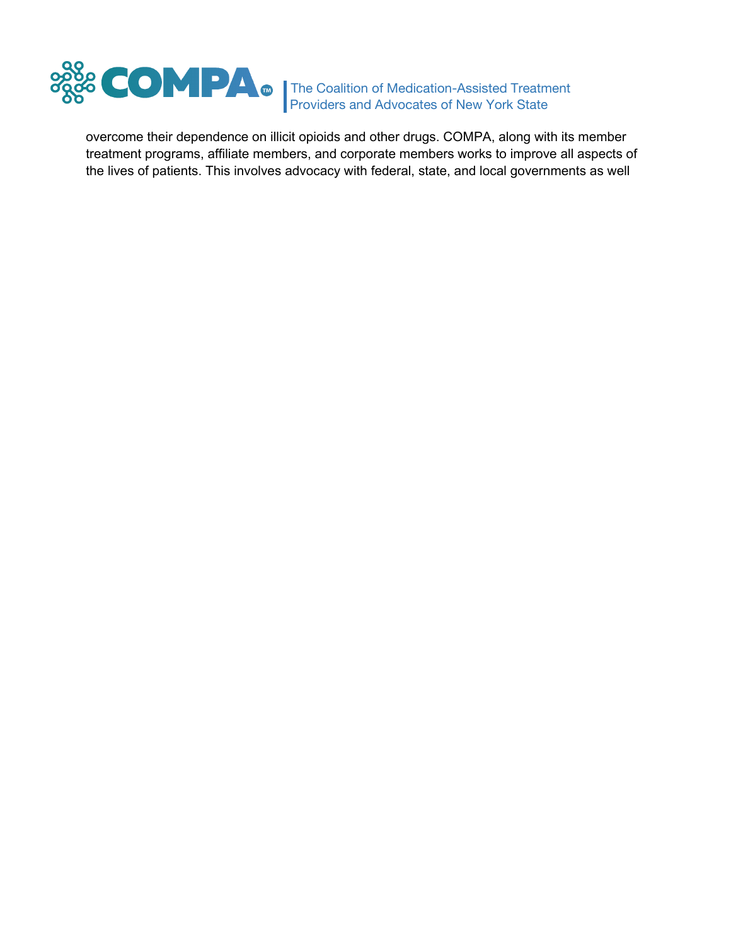

The Coalition of Medication-Assisted Treatment Providers and Advocates of New York State

overcome their dependence on illicit opioids and other drugs. COMPA, along with its member treatment programs, affiliate members, and corporate members works to improve all aspects of the lives of patients. This involves advocacy with federal, state, and local governments as well